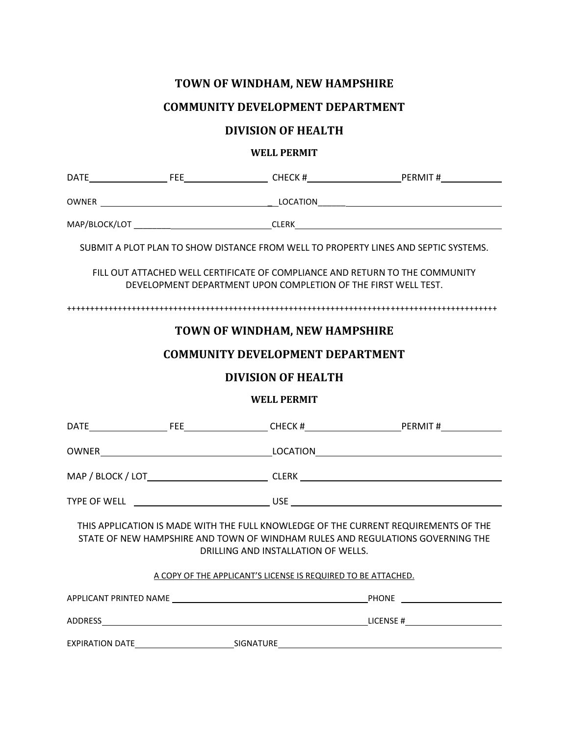## **TOWN OF WINDHAM, NEW HAMPSHIRE**

## **COMMUNITY DEVELOPMENT DEPARTMENT**

## **DIVISION OF HEALTH**

## **WELL PERMIT**

|                                                                                                                                                                                                              |  | DATE FEE FEE CHECK # PERMIT #   |  |
|--------------------------------------------------------------------------------------------------------------------------------------------------------------------------------------------------------------|--|---------------------------------|--|
|                                                                                                                                                                                                              |  |                                 |  |
|                                                                                                                                                                                                              |  | MAP/BLOCK/LOT CLERK CLERK CLERK |  |
| SUBMIT A PLOT PLAN TO SHOW DISTANCE FROM WELL TO PROPERTY LINES AND SEPTIC SYSTEMS.                                                                                                                          |  |                                 |  |
| FILL OUT ATTACHED WELL CERTIFICATE OF COMPLIANCE AND RETURN TO THE COMMUNITY<br>DEVELOPMENT DEPARTMENT UPON COMPLETION OF THE FIRST WELL TEST.                                                               |  |                                 |  |
|                                                                                                                                                                                                              |  |                                 |  |
| TOWN OF WINDHAM, NEW HAMPSHIRE                                                                                                                                                                               |  |                                 |  |
| <b>COMMUNITY DEVELOPMENT DEPARTMENT</b>                                                                                                                                                                      |  |                                 |  |
| <b>DIVISION OF HEALTH</b>                                                                                                                                                                                    |  |                                 |  |
| <b>WELL PERMIT</b>                                                                                                                                                                                           |  |                                 |  |
|                                                                                                                                                                                                              |  |                                 |  |
|                                                                                                                                                                                                              |  |                                 |  |
|                                                                                                                                                                                                              |  |                                 |  |
|                                                                                                                                                                                                              |  |                                 |  |
| THIS APPLICATION IS MADE WITH THE FULL KNOWLEDGE OF THE CURRENT REQUIREMENTS OF THE<br>STATE OF NEW HAMPSHIRE AND TOWN OF WINDHAM RULES AND REGULATIONS GOVERNING THE<br>DRILLING AND INSTALLATION OF WELLS. |  |                                 |  |
| A COPY OF THE APPLICANT'S LICENSE IS REQUIRED TO BE ATTACHED.                                                                                                                                                |  |                                 |  |
|                                                                                                                                                                                                              |  |                                 |  |
|                                                                                                                                                                                                              |  |                                 |  |
|                                                                                                                                                                                                              |  |                                 |  |